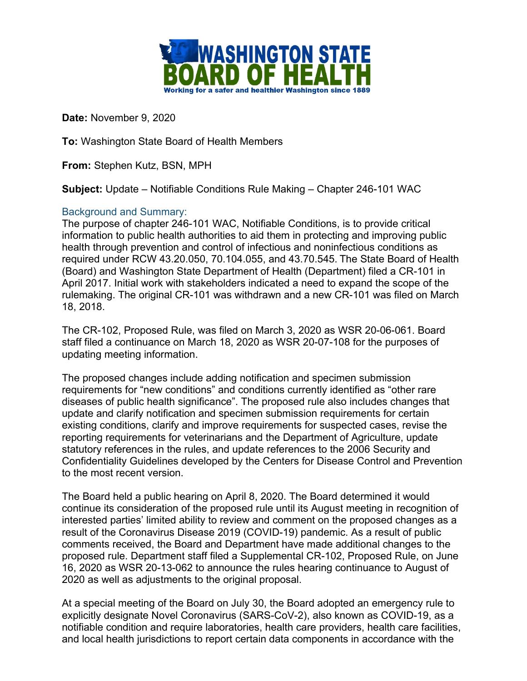

**Date:** November 9, 2020

**To:** Washington State Board of Health Members

**From:** Stephen Kutz, BSN, MPH

**Subject:** Update – Notifiable Conditions Rule Making – Chapter 246-101 WAC

## Background and Summary:

The purpose of chapter 246-101 WAC, Notifiable Conditions, is to provide critical information to public health authorities to aid them in protecting and improving public health through prevention and control of infectious and noninfectious conditions as required under RCW 43.20.050, 70.104.055, and 43.70.545. The State Board of Health (Board) and Washington State Department of Health (Department) filed a CR-101 in April 2017. Initial work with stakeholders indicated a need to expand the scope of the rulemaking. The original CR-101 was withdrawn and a new CR-101 was filed on March 18, 2018.

The CR-102, Proposed Rule, was filed on March 3, 2020 as WSR 20-06-061. Board staff filed a continuance on March 18, 2020 as WSR 20-07-108 for the purposes of updating meeting information.

The proposed changes include adding notification and specimen submission requirements for "new conditions" and conditions currently identified as "other rare diseases of public health significance". The proposed rule also includes changes that update and clarify notification and specimen submission requirements for certain existing conditions, clarify and improve requirements for suspected cases, revise the reporting requirements for veterinarians and the Department of Agriculture, update statutory references in the rules, and update references to the 2006 Security and Confidentiality Guidelines developed by the Centers for Disease Control and Prevention to the most recent version.

The Board held a public hearing on April 8, 2020. The Board determined it would continue its consideration of the proposed rule until its August meeting in recognition of interested parties' limited ability to review and comment on the proposed changes as a result of the Coronavirus Disease 2019 (COVID-19) pandemic. As a result of public comments received, the Board and Department have made additional changes to the proposed rule. Department staff filed a Supplemental CR-102, Proposed Rule, on June 16, 2020 as WSR 20-13-062 to announce the rules hearing continuance to August of 2020 as well as adjustments to the original proposal.

At a special meeting of the Board on July 30, the Board adopted an emergency rule to explicitly designate Novel Coronavirus (SARS-CoV-2), also known as COVID-19, as a notifiable condition and require laboratories, health care providers, health care facilities, and local health jurisdictions to report certain data components in accordance with the